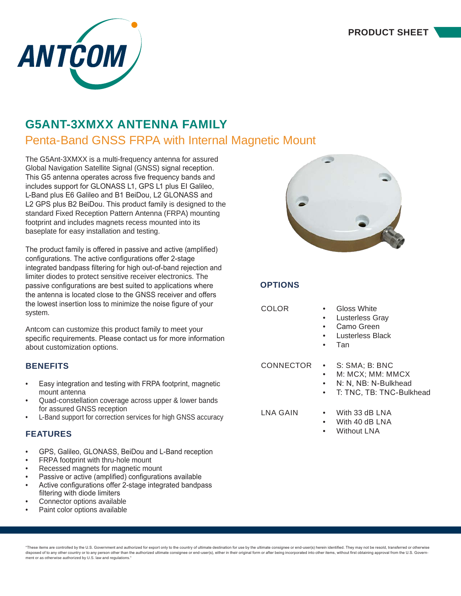

# **G5ANT-3XMXX ANTENNA FAMILY**

# Penta-Band GNSS FRPA with Internal Magnetic Mount

The G5Ant-3XMXX is a multi-frequency antenna for assured Global Navigation Satellite Signal (GNSS) signal reception. This G5 antenna operates across five frequency bands and includes support for GLONASS L1, GPS L1 plus EI Galileo, L-Band plus E6 Galileo and B1 BeiDou, L2 GLONASS and L2 GPS plus B2 BeiDou. This product family is designed to the standard Fixed Reception Pattern Antenna (FRPA) mounting footprint and includes magnets recess mounted into its baseplate for easy installation and testing.

The product family is offered in passive and active (amplified) configurations. The active configurations offer 2-stage integrated bandpass filtering for high out-of-band rejection and limiter diodes to protect sensitive receiver electronics. The passive configurations are best suited to applications where the antenna is located close to the GNSS receiver and offers the lowest insertion loss to minimize the noise figure of your system.

Antcom can customize this product family to meet your specific requirements. Please contact us for more information about customization options.

# **BENEFITS**

- Easy integration and testing with FRPA footprint, magnetic mount antenna
- Quad-constellation coverage across upper & lower bands for assured GNSS reception
- L-Band support for correction services for high GNSS accuracy

# **FEATURES**

- GPS, Galileo, GLONASS, BeiDou and L-Band reception
- FRPA footprint with thru-hole mount
- Recessed magnets for magnetic mount
- Passive or active (amplified) configurations available
- Active configurations offer 2-stage integrated bandpass filtering with diode limiters
- Connector options available
- Paint color options available



# **OPTIONS**

- COLOR Gloss White
	- **Lusterless Gray**
	- Camo Green
	- **Lusterless Black**
	- Tan

- CONNECTOR S: SMA; B: BNC
	- M: MCX; MM: MMCX
	- N: N. NB: N-Bulkhead
	- T: TNC, TB: TNC-Bulkhead

- LNA GAIN With 33 dB LNA
	- With 40 dB LNA
	- Without LNA

"These items are controlled by the U.S. Government and authorized for export only to the country of ultimate destination for use by the ultimate consignee or end-user(s) herein identified. They may not be resold, transferr disposed of to any other country or to any person other than the authorized ultimate consignee or end-user(s), either in their original form or after being incorporated into other items, without first obtaining approval fr ment or as otherwise authorized by U.S. law and regulations."